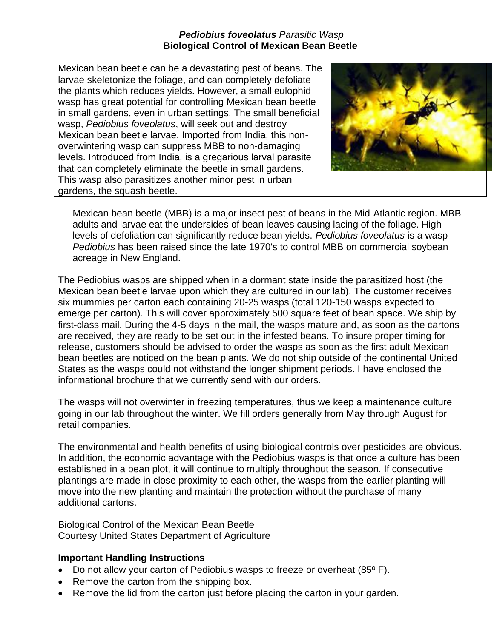# *Pediobius foveolatus Parasitic Wasp* **Biological Control of Mexican Bean Beetle**

Mexican bean beetle can be a devastating pest of beans. The larvae skeletonize the foliage, and can completely defoliate the plants which reduces yields. However, a small eulophid wasp has great potential for controlling Mexican bean beetle in small gardens, even in urban settings. The small beneficial wasp, *Pediobius foveolatus*, will seek out and destroy Mexican bean beetle larvae. Imported from India, this nonoverwintering wasp can suppress MBB to non-damaging levels. Introduced from India, is a gregarious larval parasite that can completely eliminate the beetle in small gardens. This wasp also parasitizes another minor pest in urban gardens, the squash beetle.



Mexican bean beetle (MBB) is a major insect pest of beans in the Mid-Atlantic region. MBB adults and larvae eat the undersides of bean leaves causing lacing of the foliage. High levels of defoliation can significantly reduce bean yields. *Pediobius foveolatus* is a wasp *Pediobius* has been raised since the late 1970's to control MBB on commercial soybean acreage in New England.

The Pediobius wasps are shipped when in a dormant state inside the parasitized host (the Mexican bean beetle larvae upon which they are cultured in our lab). The customer receives six mummies per carton each containing 20-25 wasps (total 120-150 wasps expected to emerge per carton). This will cover approximately 500 square feet of bean space. We ship by first-class mail. During the 4-5 days in the mail, the wasps mature and, as soon as the cartons are received, they are ready to be set out in the infested beans. To insure proper timing for release, customers should be advised to order the wasps as soon as the first adult Mexican bean beetles are noticed on the bean plants. We do not ship outside of the continental United States as the wasps could not withstand the longer shipment periods. I have enclosed the informational brochure that we currently send with our orders.

The wasps will not overwinter in freezing temperatures, thus we keep a maintenance culture going in our lab throughout the winter. We fill orders generally from May through August for retail companies.

The environmental and health benefits of using biological controls over pesticides are obvious. In addition, the economic advantage with the Pediobius wasps is that once a culture has been established in a bean plot, it will continue to multiply throughout the season. If consecutive plantings are made in close proximity to each other, the wasps from the earlier planting will move into the new planting and maintain the protection without the purchase of many additional cartons.

Biological Control of the Mexican Bean Beetle Courtesy United States Department of Agriculture

# **Important Handling Instructions**

- Do not allow your carton of Pediobius wasps to freeze or overheat (85<sup>o</sup> F).
- Remove the carton from the shipping box.
- Remove the lid from the carton just before placing the carton in your garden.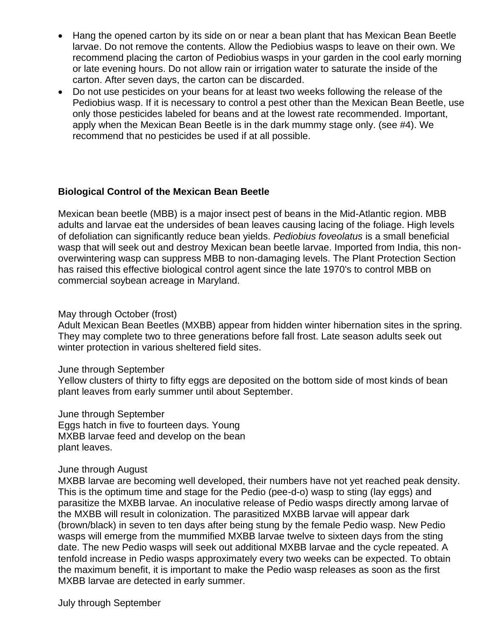- Hang the opened carton by its side on or near a bean plant that has Mexican Bean Beetle larvae. Do not remove the contents. Allow the Pediobius wasps to leave on their own. We recommend placing the carton of Pediobius wasps in your garden in the cool early morning or late evening hours. Do not allow rain or irrigation water to saturate the inside of the carton. After seven days, the carton can be discarded.
- Do not use pesticides on your beans for at least two weeks following the release of the Pediobius wasp. If it is necessary to control a pest other than the Mexican Bean Beetle, use only those pesticides labeled for beans and at the lowest rate recommended. Important, apply when the Mexican Bean Beetle is in the dark mummy stage only. (see #4). We recommend that no pesticides be used if at all possible.

# **Biological Control of the Mexican Bean Beetle**

Mexican bean beetle (MBB) is a major insect pest of beans in the Mid-Atlantic region. MBB adults and larvae eat the undersides of bean leaves causing lacing of the foliage. High levels of defoliation can significantly reduce bean yields. *Pediobius foveolatus* is a small beneficial wasp that will seek out and destroy Mexican bean beetle larvae. Imported from India, this nonoverwintering wasp can suppress MBB to non-damaging levels. The Plant Protection Section has raised this effective biological control agent since the late 1970's to control MBB on commercial soybean acreage in Maryland.

# May through October (frost)

Adult Mexican Bean Beetles (MXBB) appear from hidden winter hibernation sites in the spring. They may complete two to three generations before fall frost. Late season adults seek out winter protection in various sheltered field sites.

#### June through September

Yellow clusters of thirty to fifty eggs are deposited on the bottom side of most kinds of bean plant leaves from early summer until about September.

June through September

Eggs hatch in five to fourteen days. Young MXBB larvae feed and develop on the bean plant leaves.

# June through August

MXBB larvae are becoming well developed, their numbers have not yet reached peak density. This is the optimum time and stage for the Pedio (pee-d-o) wasp to sting (lay eggs) and parasitize the MXBB larvae. An inoculative release of Pedio wasps directly among larvae of the MXBB will result in colonization. The parasitized MXBB larvae will appear dark (brown/black) in seven to ten days after being stung by the female Pedio wasp. New Pedio wasps will emerge from the mummified MXBB larvae twelve to sixteen days from the sting date. The new Pedio wasps will seek out additional MXBB larvae and the cycle repeated. A tenfold increase in Pedio wasps approximately every two weeks can be expected. To obtain the maximum benefit, it is important to make the Pedio wasp releases as soon as the first MXBB larvae are detected in early summer.

July through September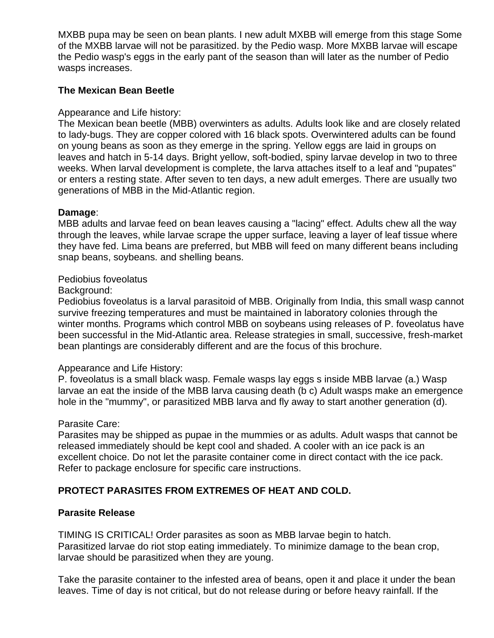MXBB pupa may be seen on bean plants. I new adult MXBB will emerge from this stage Some of the MXBB larvae will not be parasitized. by the Pedio wasp. More MXBB larvae will escape the Pedio wasp's eggs in the early pant of the season than will later as the number of Pedio wasps increases.

# **The Mexican Bean Beetle**

## Appearance and Life history:

The Mexican bean beetle (MBB) overwinters as adults. Adults look like and are closely related to lady-bugs. They are copper colored with 16 black spots. Overwintered adults can be found on young beans as soon as they emerge in the spring. Yellow eggs are laid in groups on leaves and hatch in 5-14 days. Bright yellow, soft-bodied, spiny larvae develop in two to three weeks. When larval development is complete, the larva attaches itself to a leaf and "pupates" or enters a resting state. After seven to ten days, a new adult emerges. There are usually two generations of MBB in the Mid-Atlantic region.

## **Damage**:

MBB adults and larvae feed on bean leaves causing a "lacing" effect. Adults chew all the way through the leaves, while larvae scrape the upper surface, leaving a layer of leaf tissue where they have fed. Lima beans are preferred, but MBB will feed on many different beans including snap beans, soybeans. and shelling beans.

## Pediobius foveolatus

Background:

Pediobius foveolatus is a larval parasitoid of MBB. Originally from India, this small wasp cannot survive freezing temperatures and must be maintained in laboratory colonies through the winter months. Programs which control MBB on soybeans using releases of P. foveolatus have been successful in the Mid-Atlantic area. Release strategies in small, successive, fresh-market bean plantings are considerably different and are the focus of this brochure.

#### Appearance and Life History:

P. foveolatus is a small black wasp. Female wasps lay eggs s inside MBB larvae (a.) Wasp larvae an eat the inside of the MBB larva causing death (b c) Adult wasps make an emergence hole in the "mummy", or parasitized MBB larva and fly away to start another generation (d).

#### Parasite Care:

Parasites may be shipped as pupae in the mummies or as adults. Adult wasps that cannot be released immediately should be kept cool and shaded. A cooler with an ice pack is an excellent choice. Do not let the parasite container come in direct contact with the ice pack. Refer to package enclosure for specific care instructions.

# **PROTECT PARASITES FROM EXTREMES OF HEAT AND COLD.**

#### **Parasite Release**

TIMING IS CRITICAL! Order parasites as soon as MBB larvae begin to hatch. Parasitized larvae do riot stop eating immediately. To minimize damage to the bean crop, larvae should be parasitized when they are young.

Take the parasite container to the infested area of beans, open it and place it under the bean leaves. Time of day is not critical, but do not release during or before heavy rainfall. If the